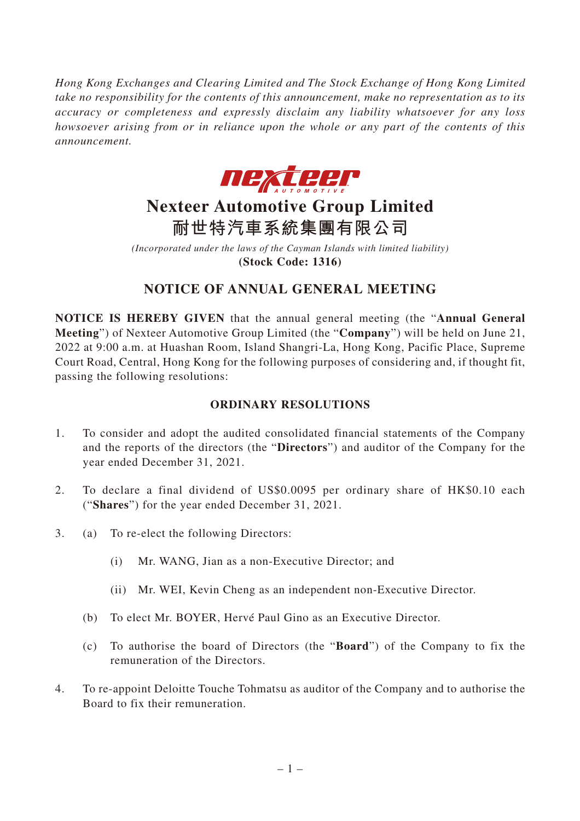*Hong Kong Exchanges and Clearing Limited and The Stock Exchange of Hong Kong Limited take no responsibility for the contents of this announcement, make no representation as to its accuracy or completeness and expressly disclaim any liability whatsoever for any loss howsoever arising from or in reliance upon the whole or any part of the contents of this announcement.*



# **Nexteer Automotive Group Limited 耐世特汽車系統集團有限公司**

*(Incorporated under the laws of the Cayman Islands with limited liability)* **(Stock Code: 1316)**

## **NOTICE OF ANNUAL GENERAL MEETING**

**NOTICE IS HEREBY GIVEN** that the annual general meeting (the "**Annual General Meeting**") of Nexteer Automotive Group Limited (the "**Company**") will be held on June 21, 2022 at 9:00 a.m. at Huashan Room, Island Shangri-La, Hong Kong, Pacific Place, Supreme Court Road, Central, Hong Kong for the following purposes of considering and, if thought fit, passing the following resolutions:

## **ORDINARY RESOLUTIONS**

- 1. To consider and adopt the audited consolidated financial statements of the Company and the reports of the directors (the "**Directors**") and auditor of the Company for the year ended December 31, 2021.
- 2. To declare a final dividend of US\$0.0095 per ordinary share of HK\$0.10 each ("**Shares**") for the year ended December 31, 2021.
- 3. (a) To re-elect the following Directors:
	- (i) Mr. WANG, Jian as a non-Executive Director; and
	- (ii) Mr. WEI, Kevin Cheng as an independent non-Executive Director.
	- (b) To elect Mr. BOYER, Hervé Paul Gino as an Executive Director.
	- (c) To authorise the board of Directors (the "**Board**") of the Company to fix the remuneration of the Directors.
- 4. To re-appoint Deloitte Touche Tohmatsu as auditor of the Company and to authorise the Board to fix their remuneration.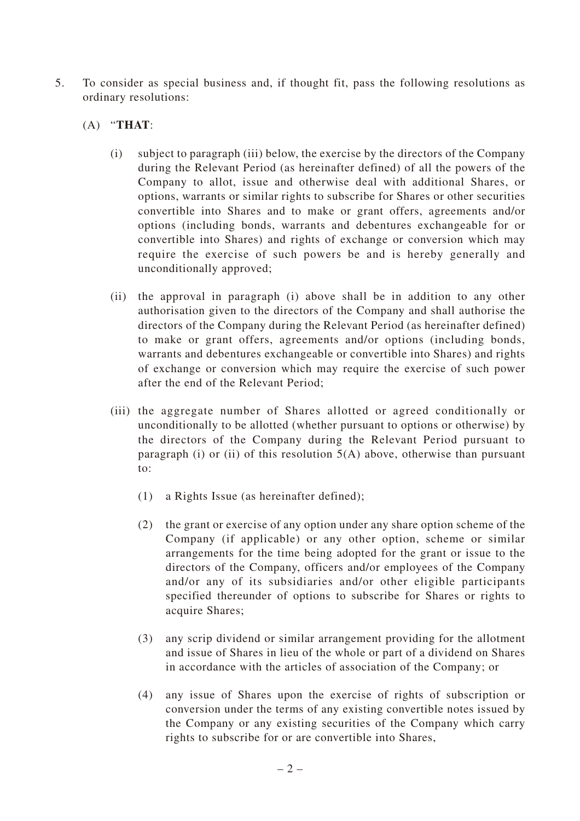- 5. To consider as special business and, if thought fit, pass the following resolutions as ordinary resolutions:
	- (A) "**THAT**:
		- (i) subject to paragraph (iii) below, the exercise by the directors of the Company during the Relevant Period (as hereinafter defined) of all the powers of the Company to allot, issue and otherwise deal with additional Shares, or options, warrants or similar rights to subscribe for Shares or other securities convertible into Shares and to make or grant offers, agreements and/or options (including bonds, warrants and debentures exchangeable for or convertible into Shares) and rights of exchange or conversion which may require the exercise of such powers be and is hereby generally and unconditionally approved;
		- (ii) the approval in paragraph (i) above shall be in addition to any other authorisation given to the directors of the Company and shall authorise the directors of the Company during the Relevant Period (as hereinafter defined) to make or grant offers, agreements and/or options (including bonds, warrants and debentures exchangeable or convertible into Shares) and rights of exchange or conversion which may require the exercise of such power after the end of the Relevant Period;
		- (iii) the aggregate number of Shares allotted or agreed conditionally or unconditionally to be allotted (whether pursuant to options or otherwise) by the directors of the Company during the Relevant Period pursuant to paragraph (i) or (ii) of this resolution  $5(A)$  above, otherwise than pursuant to:
			- (1) a Rights Issue (as hereinafter defined);
			- (2) the grant or exercise of any option under any share option scheme of the Company (if applicable) or any other option, scheme or similar arrangements for the time being adopted for the grant or issue to the directors of the Company, officers and/or employees of the Company and/or any of its subsidiaries and/or other eligible participants specified thereunder of options to subscribe for Shares or rights to acquire Shares;
			- (3) any scrip dividend or similar arrangement providing for the allotment and issue of Shares in lieu of the whole or part of a dividend on Shares in accordance with the articles of association of the Company; or
			- (4) any issue of Shares upon the exercise of rights of subscription or conversion under the terms of any existing convertible notes issued by the Company or any existing securities of the Company which carry rights to subscribe for or are convertible into Shares,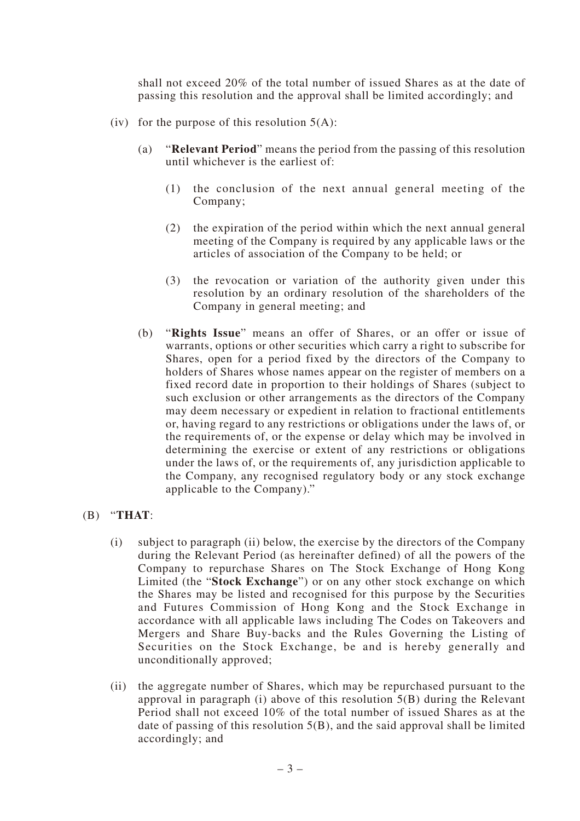shall not exceed 20% of the total number of issued Shares as at the date of passing this resolution and the approval shall be limited accordingly; and

- (iv) for the purpose of this resolution  $5(A)$ :
	- (a) "**Relevant Period**" means the period from the passing of this resolution until whichever is the earliest of:
		- (1) the conclusion of the next annual general meeting of the Company;
		- (2) the expiration of the period within which the next annual general meeting of the Company is required by any applicable laws or the articles of association of the Company to be held; or
		- (3) the revocation or variation of the authority given under this resolution by an ordinary resolution of the shareholders of the Company in general meeting; and
	- (b) "**Rights Issue**" means an offer of Shares, or an offer or issue of warrants, options or other securities which carry a right to subscribe for Shares, open for a period fixed by the directors of the Company to holders of Shares whose names appear on the register of members on a fixed record date in proportion to their holdings of Shares (subject to such exclusion or other arrangements as the directors of the Company may deem necessary or expedient in relation to fractional entitlements or, having regard to any restrictions or obligations under the laws of, or the requirements of, or the expense or delay which may be involved in determining the exercise or extent of any restrictions or obligations under the laws of, or the requirements of, any jurisdiction applicable to the Company, any recognised regulatory body or any stock exchange applicable to the Company)."

### (B) "**THAT**:

- (i) subject to paragraph (ii) below, the exercise by the directors of the Company during the Relevant Period (as hereinafter defined) of all the powers of the Company to repurchase Shares on The Stock Exchange of Hong Kong Limited (the "**Stock Exchange**") or on any other stock exchange on which the Shares may be listed and recognised for this purpose by the Securities and Futures Commission of Hong Kong and the Stock Exchange in accordance with all applicable laws including The Codes on Takeovers and Mergers and Share Buy-backs and the Rules Governing the Listing of Securities on the Stock Exchange, be and is hereby generally and unconditionally approved;
- (ii) the aggregate number of Shares, which may be repurchased pursuant to the approval in paragraph (i) above of this resolution 5(B) during the Relevant Period shall not exceed 10% of the total number of issued Shares as at the date of passing of this resolution 5(B), and the said approval shall be limited accordingly; and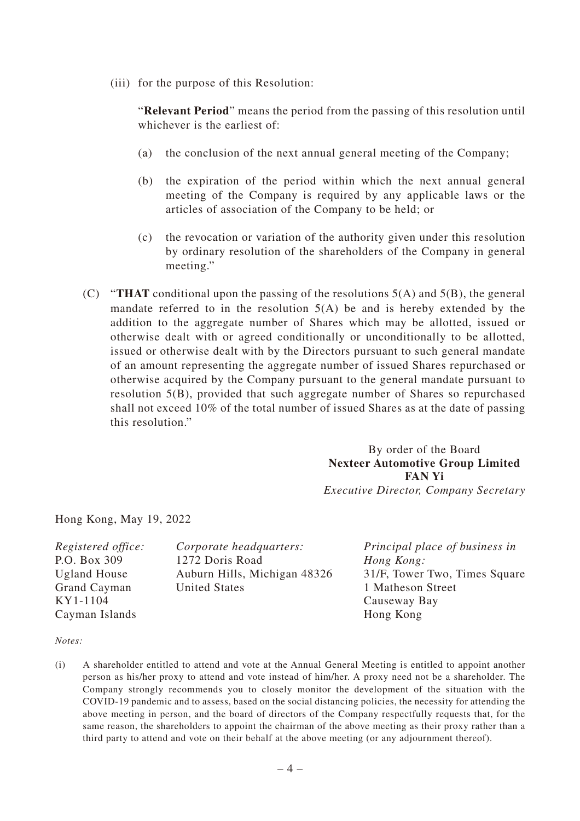(iii) for the purpose of this Resolution:

"**Relevant Period**" means the period from the passing of this resolution until whichever is the earliest of:

- (a) the conclusion of the next annual general meeting of the Company;
- (b) the expiration of the period within which the next annual general meeting of the Company is required by any applicable laws or the articles of association of the Company to be held; or
- (c) the revocation or variation of the authority given under this resolution by ordinary resolution of the shareholders of the Company in general meeting."
- (C) "**THAT** conditional upon the passing of the resolutions  $5(A)$  and  $5(B)$ , the general mandate referred to in the resolution  $5(A)$  be and is hereby extended by the addition to the aggregate number of Shares which may be allotted, issued or otherwise dealt with or agreed conditionally or unconditionally to be allotted, issued or otherwise dealt with by the Directors pursuant to such general mandate of an amount representing the aggregate number of issued Shares repurchased or otherwise acquired by the Company pursuant to the general mandate pursuant to resolution 5(B), provided that such aggregate number of Shares so repurchased shall not exceed 10% of the total number of issued Shares as at the date of passing this resolution."

By order of the Board **Nexteer Automotive Group Limited FAN Yi** *Executive Director, Company Secretary*

Hong Kong, May 19, 2022

| <i>Registered office:</i> | Corporate headquarters:      |
|---------------------------|------------------------------|
| P.O. Box 309              | 1272 Doris Road              |
| <b>Ugland House</b>       | Auburn Hills, Michigan 48326 |
| Grand Cayman              | <b>United States</b>         |
| KY1-1104                  |                              |
| Cayman Islands            |                              |

*Principal place of business in Hong Kong:* 31/F, Tower Two, Times Square 1 Matheson Street Causeway Bay Hong Kong

#### *Notes:*

(i) A shareholder entitled to attend and vote at the Annual General Meeting is entitled to appoint another person as his/her proxy to attend and vote instead of him/her. A proxy need not be a shareholder. The Company strongly recommends you to closely monitor the development of the situation with the COVID-19 pandemic and to assess, based on the social distancing policies, the necessity for attending the above meeting in person, and the board of directors of the Company respectfully requests that, for the same reason, the shareholders to appoint the chairman of the above meeting as their proxy rather than a third party to attend and vote on their behalf at the above meeting (or any adjournment thereof).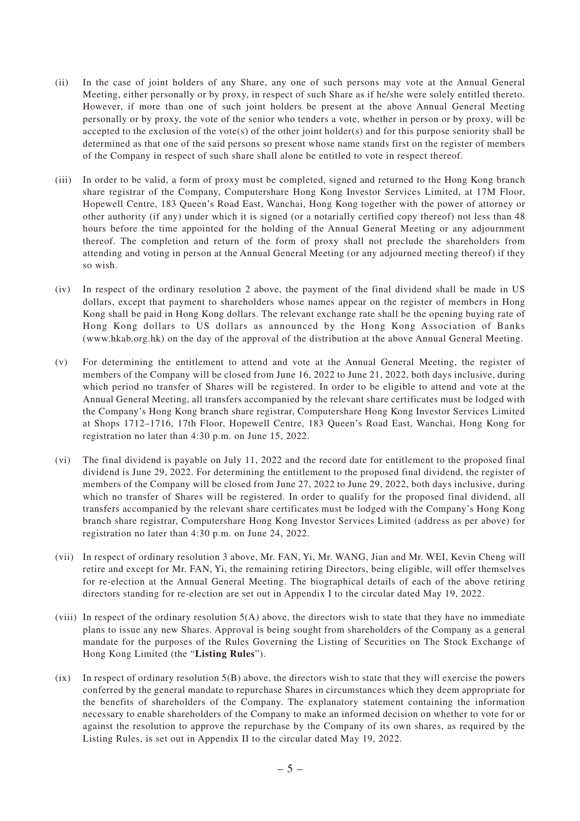- (ii) In the case of joint holders of any Share, any one of such persons may vote at the Annual General Meeting, either personally or by proxy, in respect of such Share as if he/she were solely entitled thereto. However, if more than one of such joint holders be present at the above Annual General Meeting personally or by proxy, the vote of the senior who tenders a vote, whether in person or by proxy, will be accepted to the exclusion of the vote(s) of the other joint holder(s) and for this purpose seniority shall be determined as that one of the said persons so present whose name stands first on the register of members of the Company in respect of such share shall alone be entitled to vote in respect thereof.
- (iii) In order to be valid, a form of proxy must be completed, signed and returned to the Hong Kong branch share registrar of the Company, Computershare Hong Kong Investor Services Limited, at 17M Floor, Hopewell Centre, 183 Queen's Road East, Wanchai, Hong Kong together with the power of attorney or other authority (if any) under which it is signed (or a notarially certified copy thereof) not less than 48 hours before the time appointed for the holding of the Annual General Meeting or any adjournment thereof. The completion and return of the form of proxy shall not preclude the shareholders from attending and voting in person at the Annual General Meeting (or any adjourned meeting thereof) if they so wish.
- (iv) In respect of the ordinary resolution 2 above, the payment of the final dividend shall be made in US dollars, except that payment to shareholders whose names appear on the register of members in Hong Kong shall be paid in Hong Kong dollars. The relevant exchange rate shall be the opening buying rate of Hong Kong dollars to US dollars as announced by the Hong Kong Association of Banks (www.hkab.org.hk) on the day of the approval of the distribution at the above Annual General Meeting.
- (v) For determining the entitlement to attend and vote at the Annual General Meeting, the register of members of the Company will be closed from June 16, 2022 to June 21, 2022, both days inclusive, during which period no transfer of Shares will be registered. In order to be eligible to attend and vote at the Annual General Meeting, all transfers accompanied by the relevant share certificates must be lodged with the Company's Hong Kong branch share registrar, Computershare Hong Kong Investor Services Limited at Shops 1712–1716, 17th Floor, Hopewell Centre, 183 Queen's Road East, Wanchai, Hong Kong for registration no later than 4:30 p.m. on June 15, 2022.
- (vi) The final dividend is payable on July 11, 2022 and the record date for entitlement to the proposed final dividend is June 29, 2022. For determining the entitlement to the proposed final dividend, the register of members of the Company will be closed from June 27, 2022 to June 29, 2022, both days inclusive, during which no transfer of Shares will be registered. In order to qualify for the proposed final dividend, all transfers accompanied by the relevant share certificates must be lodged with the Company's Hong Kong branch share registrar, Computershare Hong Kong Investor Services Limited (address as per above) for registration no later than 4:30 p.m. on June 24, 2022.
- (vii) In respect of ordinary resolution 3 above, Mr. FAN, Yi, Mr. WANG, Jian and Mr. WEI, Kevin Cheng will retire and except for Mr. FAN, Yi, the remaining retiring Directors, being eligible, will offer themselves for re-election at the Annual General Meeting. The biographical details of each of the above retiring directors standing for re-election are set out in Appendix I to the circular dated May 19, 2022.
- (viii) In respect of the ordinary resolution  $5(A)$  above, the directors wish to state that they have no immediate plans to issue any new Shares. Approval is being sought from shareholders of the Company as a general mandate for the purposes of the Rules Governing the Listing of Securities on The Stock Exchange of Hong Kong Limited (the "**Listing Rules**").
- (ix) In respect of ordinary resolution  $5(B)$  above, the directors wish to state that they will exercise the powers conferred by the general mandate to repurchase Shares in circumstances which they deem appropriate for the benefits of shareholders of the Company. The explanatory statement containing the information necessary to enable shareholders of the Company to make an informed decision on whether to vote for or against the resolution to approve the repurchase by the Company of its own shares, as required by the Listing Rules, is set out in Appendix II to the circular dated May 19, 2022.